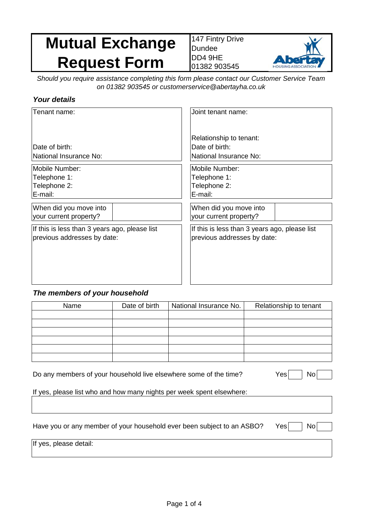# **Mutual Exchange Request Form**

147 Fintry Drive Dundee DD4 9HE 01382 903545



*Should you require assistance completing this form please contact our Customer Service Team on 01382 903545 or customerservice@abertayha.co.uk* 

### *Your details*

| Tenant name:                                  | Joint tenant name:                                                  |  |
|-----------------------------------------------|---------------------------------------------------------------------|--|
| Date of birth:<br>National Insurance No:      | Relationship to tenant:<br>Date of birth:<br>National Insurance No: |  |
| Mobile Number:                                | Mobile Number:                                                      |  |
| Telephone 1:                                  | Telephone 1:                                                        |  |
| Telephone 2:                                  | Telephone 2:                                                        |  |
| E-mail:                                       | E-mail:                                                             |  |
| When did you move into                        | When did you move into                                              |  |
| your current property?                        | your current property?                                              |  |
| If this is less than 3 years ago, please list | If this is less than 3 years ago, please list                       |  |
| previous addresses by date:                   | previous addresses by date:                                         |  |

### *The members of your household*

| Name | Date of birth | National Insurance No. | Relationship to tenant |
|------|---------------|------------------------|------------------------|
|      |               |                        |                        |
|      |               |                        |                        |
|      |               |                        |                        |
|      |               |                        |                        |
|      |               |                        |                        |
|      |               |                        |                        |

| Do any members of your household live elsewhere some of the time?      | Yes<br>No   |
|------------------------------------------------------------------------|-------------|
| If yes, please list who and how many nights per week spent elsewhere:  |             |
|                                                                        |             |
|                                                                        |             |
| Have you or any member of your household ever been subject to an ASBO? | Yes∣<br>Nol |
| If yes, please detail:                                                 |             |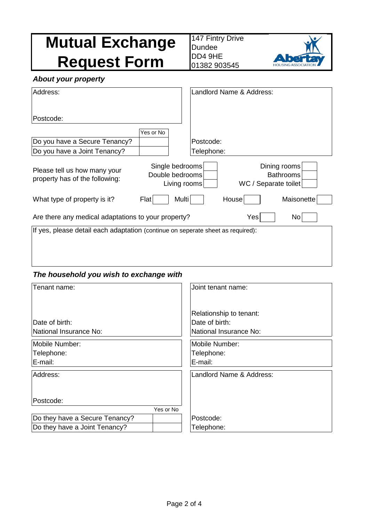| <b>Mutual Exchange</b><br><b>Request Form</b>                                   |                                                    | Dundee<br>DD4 9HE<br>01382 903545 | 147 Fintry Drive         |                                                          |
|---------------------------------------------------------------------------------|----------------------------------------------------|-----------------------------------|--------------------------|----------------------------------------------------------|
| <b>About your property</b>                                                      |                                                    |                                   |                          |                                                          |
| Address:                                                                        |                                                    |                                   | Landlord Name & Address: |                                                          |
| Postcode:                                                                       |                                                    |                                   |                          |                                                          |
| Do you have a Secure Tenancy?                                                   | Yes or No                                          | Postcode:                         |                          |                                                          |
| Do you have a Joint Tenancy?                                                    |                                                    | Telephone:                        |                          |                                                          |
| Please tell us how many your<br>property has of the following:                  | Single bedrooms<br>Double bedrooms<br>Living rooms |                                   |                          | Dining rooms<br><b>Bathrooms</b><br>WC / Separate toilet |
| What type of property is it?                                                    | Multi<br>Flat                                      |                                   | House                    | Maisonette                                               |
| Yes<br>No<br>Are there any medical adaptations to your property?                |                                                    |                                   |                          |                                                          |
| If yes, please detail each adaptation (continue on seperate sheet as required): |                                                    |                                   |                          |                                                          |

### *The household you wish to exchange with*

| Tenant name:                   | Joint tenant name:       |
|--------------------------------|--------------------------|
|                                | Relationship to tenant:  |
| Date of birth:                 | Date of birth:           |
| National Insurance No:         | National Insurance No:   |
| Mobile Number:                 | Mobile Number:           |
| Telephone:                     | Telephone:               |
| E-mail:                        | E-mail:                  |
| Address:                       | Landlord Name & Address: |
|                                |                          |
| Postcode:                      |                          |
| Yes or No                      |                          |
| Do they have a Secure Tenancy? | Postcode:                |
| Do they have a Joint Tenancy?  | Telephone:               |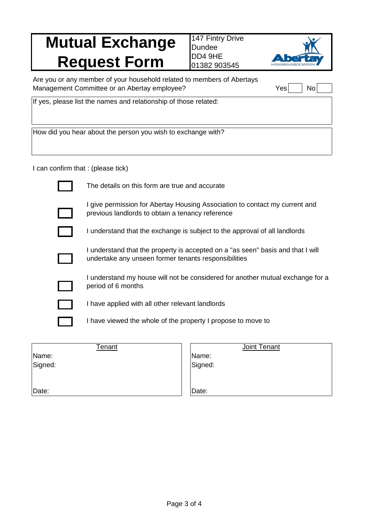# **Mutual Exchange Request Form**

147 Fintry Drive Dundee DD4 9HE 01382 903545



Are you or any member of your household related to members of Abertays Management Committee or an Abertay employee?

| YAS | וחמ |  |
|-----|-----|--|

If yes, please list the names and relationship of those related:

How did you hear about the person you wish to exchange with?

I can confirm that : (please tick)

| The details on this form are true and accurate                                                                                          |
|-----------------------------------------------------------------------------------------------------------------------------------------|
| I give permission for Abertay Housing Association to contact my current and<br>previous landlords to obtain a tenancy reference         |
| I understand that the exchange is subject to the approval of all landlords                                                              |
| I understand that the property is accepted on a "as seen" basis and that I will<br>undertake any unseen former tenants responsibilities |
| I understand my house will not be considered for another mutual exchange for a<br>period of 6 months                                    |
| I have applied with all other relevant landlords                                                                                        |
| I have viewed the whole of the property I propose to move to                                                                            |
|                                                                                                                                         |

Joint Tenant

| IName:<br>Signed: | I enant | Name:<br>Signed: |
|-------------------|---------|------------------|
| Date:             |         | Date:            |